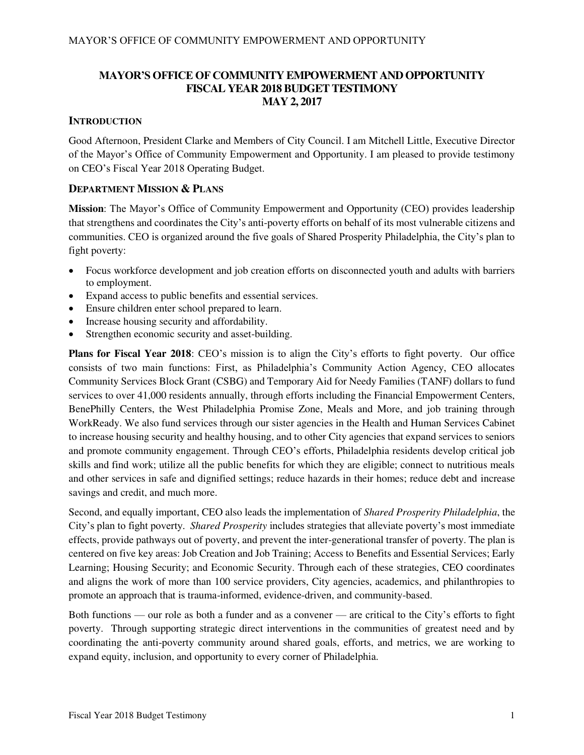### **MAYOR'S OFFICE OF COMMUNITY EMPOWERMENT AND OPPORTUNITY FISCAL YEAR 2018 BUDGET TESTIMONY MAY 2, 2017**

### **INTRODUCTION**

Good Afternoon, President Clarke and Members of City Council. I am Mitchell Little, Executive Director of the Mayor's Office of Community Empowerment and Opportunity. I am pleased to provide testimony on CEO's Fiscal Year 2018 Operating Budget.

### **DEPARTMENT MISSION & PLANS**

**Mission**: The Mayor's Office of Community Empowerment and Opportunity (CEO) provides leadership that strengthens and coordinates the City's anti-poverty efforts on behalf of its most vulnerable citizens and communities. CEO is organized around the five goals of Shared Prosperity Philadelphia, the City's plan to fight poverty:

- Focus workforce development and job creation efforts on disconnected youth and adults with barriers to employment.
- Expand access to public benefits and essential services.
- Ensure children enter school prepared to learn.
- Increase housing security and affordability.
- Strengthen economic security and asset-building.

**Plans for Fiscal Year 2018**: CEO's mission is to align the City's efforts to fight poverty. Our office consists of two main functions: First, as Philadelphia's Community Action Agency, CEO allocates Community Services Block Grant (CSBG) and Temporary Aid for Needy Families (TANF) dollars to fund services to over 41,000 residents annually, through efforts including the Financial Empowerment Centers, BenePhilly Centers, the West Philadelphia Promise Zone, Meals and More, and job training through WorkReady. We also fund services through our sister agencies in the Health and Human Services Cabinet to increase housing security and healthy housing, and to other City agencies that expand services to seniors and promote community engagement. Through CEO's efforts, Philadelphia residents develop critical job skills and find work; utilize all the public benefits for which they are eligible; connect to nutritious meals and other services in safe and dignified settings; reduce hazards in their homes; reduce debt and increase savings and credit, and much more.

Second, and equally important, CEO also leads the implementation of *Shared Prosperity Philadelphia*, the City's plan to fight poverty. *Shared Prosperity* includes strategies that alleviate poverty's most immediate effects, provide pathways out of poverty, and prevent the inter-generational transfer of poverty. The plan is centered on five key areas: Job Creation and Job Training; Access to Benefits and Essential Services; Early Learning; Housing Security; and Economic Security. Through each of these strategies, CEO coordinates and aligns the work of more than 100 service providers, City agencies, academics, and philanthropies to promote an approach that is trauma-informed, evidence-driven, and community-based.

Both functions — our role as both a funder and as a convener — are critical to the City's efforts to fight poverty. Through supporting strategic direct interventions in the communities of greatest need and by coordinating the anti-poverty community around shared goals, efforts, and metrics, we are working to expand equity, inclusion, and opportunity to every corner of Philadelphia.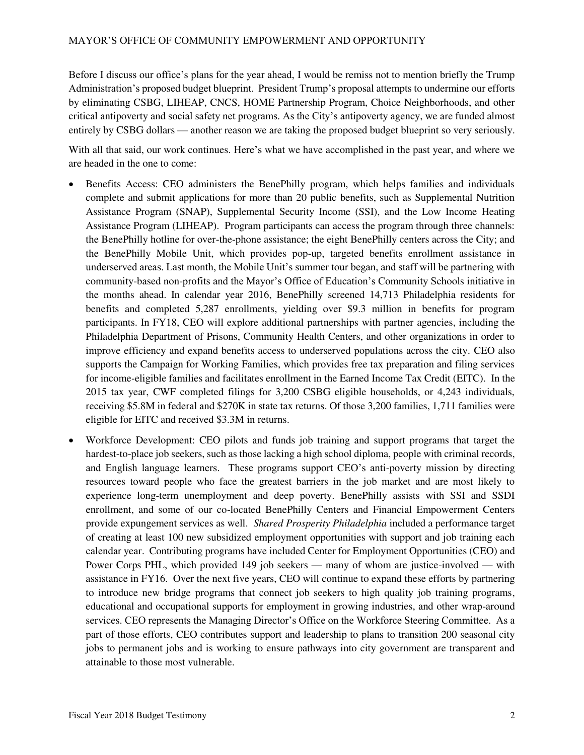Before I discuss our office's plans for the year ahead, I would be remiss not to mention briefly the Trump Administration's proposed budget blueprint. President Trump's proposal attempts to undermine our efforts by eliminating CSBG, LIHEAP, CNCS, HOME Partnership Program, Choice Neighborhoods, and other critical antipoverty and social safety net programs. As the City's antipoverty agency, we are funded almost entirely by CSBG dollars — another reason we are taking the proposed budget blueprint so very seriously.

With all that said, our work continues. Here's what we have accomplished in the past year, and where we are headed in the one to come:

- Benefits Access: CEO administers the BenePhilly program, which helps families and individuals complete and submit applications for more than 20 public benefits, such as Supplemental Nutrition Assistance Program (SNAP), Supplemental Security Income (SSI), and the Low Income Heating Assistance Program (LIHEAP). Program participants can access the program through three channels: the BenePhilly hotline for over-the-phone assistance; the eight BenePhilly centers across the City; and the BenePhilly Mobile Unit, which provides pop-up, targeted benefits enrollment assistance in underserved areas. Last month, the Mobile Unit's summer tour began, and staff will be partnering with community-based non-profits and the Mayor's Office of Education's Community Schools initiative in the months ahead. In calendar year 2016, BenePhilly screened 14,713 Philadelphia residents for benefits and completed 5,287 enrollments, yielding over \$9.3 million in benefits for program participants. In FY18, CEO will explore additional partnerships with partner agencies, including the Philadelphia Department of Prisons, Community Health Centers, and other organizations in order to improve efficiency and expand benefits access to underserved populations across the city. CEO also supports the Campaign for Working Families, which provides free tax preparation and filing services for income-eligible families and facilitates enrollment in the Earned Income Tax Credit (EITC). In the 2015 tax year, CWF completed filings for 3,200 CSBG eligible households, or 4,243 individuals, receiving \$5.8M in federal and \$270K in state tax returns. Of those 3,200 families, 1,711 families were eligible for EITC and received \$3.3M in returns.
- Workforce Development: CEO pilots and funds job training and support programs that target the hardest-to-place job seekers, such as those lacking a high school diploma, people with criminal records, and English language learners. These programs support CEO's anti-poverty mission by directing resources toward people who face the greatest barriers in the job market and are most likely to experience long-term unemployment and deep poverty. BenePhilly assists with SSI and SSDI enrollment, and some of our co-located BenePhilly Centers and Financial Empowerment Centers provide expungement services as well. *Shared Prosperity Philadelphia* included a performance target of creating at least 100 new subsidized employment opportunities with support and job training each calendar year. Contributing programs have included Center for Employment Opportunities (CEO) and Power Corps PHL, which provided 149 job seekers — many of whom are justice-involved — with assistance in FY16. Over the next five years, CEO will continue to expand these efforts by partnering to introduce new bridge programs that connect job seekers to high quality job training programs, educational and occupational supports for employment in growing industries, and other wrap-around services. CEO represents the Managing Director's Office on the Workforce Steering Committee. As a part of those efforts, CEO contributes support and leadership to plans to transition 200 seasonal city jobs to permanent jobs and is working to ensure pathways into city government are transparent and attainable to those most vulnerable.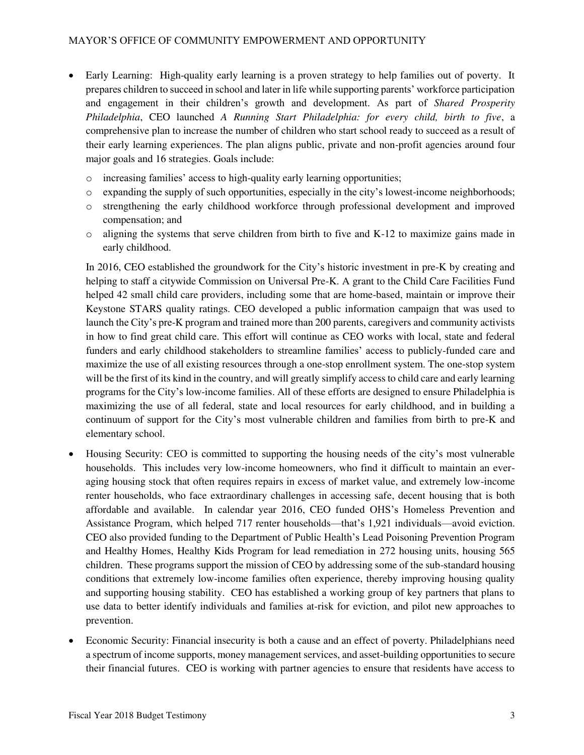- Early Learning: High-quality early learning is a proven strategy to help families out of poverty. It prepares children to succeed in school and later in life while supporting parents' workforce participation and engagement in their children's growth and development. As part of *Shared Prosperity Philadelphia*, CEO launched *A Running Start Philadelphia: for every child, birth to five*, a comprehensive plan to increase the number of children who start school ready to succeed as a result of their early learning experiences. The plan aligns public, private and non-profit agencies around four major goals and 16 strategies. Goals include:
	- o increasing families' access to high-quality early learning opportunities;
	- o expanding the supply of such opportunities, especially in the city's lowest-income neighborhoods;
	- o strengthening the early childhood workforce through professional development and improved compensation; and
	- o aligning the systems that serve children from birth to five and K-12 to maximize gains made in early childhood.

In 2016, CEO established the groundwork for the City's historic investment in pre-K by creating and helping to staff a citywide Commission on Universal Pre-K. A grant to the Child Care Facilities Fund helped 42 small child care providers, including some that are home-based, maintain or improve their Keystone STARS quality ratings. CEO developed a public information campaign that was used to launch the City's pre-K program and trained more than 200 parents, caregivers and community activists in how to find great child care. This effort will continue as CEO works with local, state and federal funders and early childhood stakeholders to streamline families' access to publicly-funded care and maximize the use of all existing resources through a one-stop enrollment system. The one-stop system will be the first of its kind in the country, and will greatly simplify access to child care and early learning programs for the City's low-income families. All of these efforts are designed to ensure Philadelphia is maximizing the use of all federal, state and local resources for early childhood, and in building a continuum of support for the City's most vulnerable children and families from birth to pre-K and elementary school.

- Housing Security: CEO is committed to supporting the housing needs of the city's most vulnerable households. This includes very low-income homeowners, who find it difficult to maintain an everaging housing stock that often requires repairs in excess of market value, and extremely low-income renter households, who face extraordinary challenges in accessing safe, decent housing that is both affordable and available. In calendar year 2016, CEO funded OHS's Homeless Prevention and Assistance Program, which helped 717 renter households—that's 1,921 individuals—avoid eviction. CEO also provided funding to the Department of Public Health's Lead Poisoning Prevention Program and Healthy Homes, Healthy Kids Program for lead remediation in 272 housing units, housing 565 children. These programs support the mission of CEO by addressing some of the sub-standard housing conditions that extremely low-income families often experience, thereby improving housing quality and supporting housing stability. CEO has established a working group of key partners that plans to use data to better identify individuals and families at-risk for eviction, and pilot new approaches to prevention.
- Economic Security: Financial insecurity is both a cause and an effect of poverty. Philadelphians need a spectrum of income supports, money management services, and asset-building opportunities to secure their financial futures. CEO is working with partner agencies to ensure that residents have access to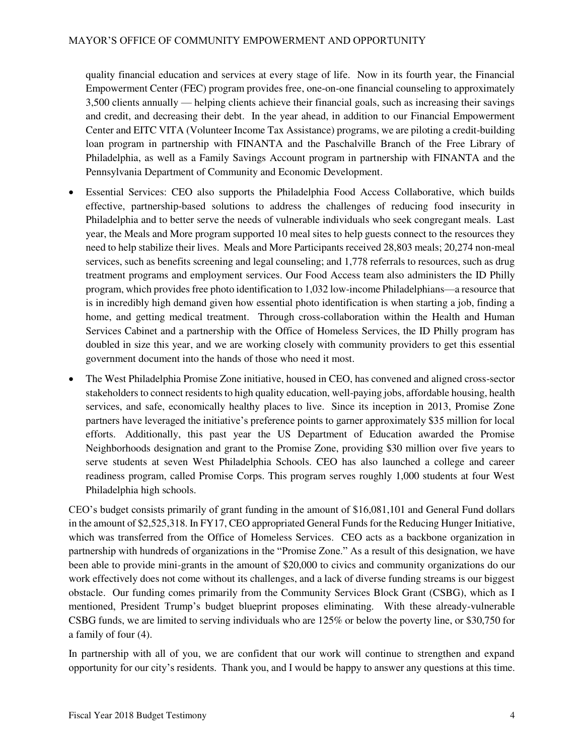quality financial education and services at every stage of life. Now in its fourth year, the Financial Empowerment Center (FEC) program provides free, one-on-one financial counseling to approximately 3,500 clients annually — helping clients achieve their financial goals, such as increasing their savings and credit, and decreasing their debt. In the year ahead, in addition to our Financial Empowerment Center and EITC VITA (Volunteer Income Tax Assistance) programs, we are piloting a credit-building loan program in partnership with FINANTA and the Paschalville Branch of the Free Library of Philadelphia, as well as a Family Savings Account program in partnership with FINANTA and the Pennsylvania Department of Community and Economic Development.

- Essential Services: CEO also supports the Philadelphia Food Access Collaborative, which builds effective, partnership-based solutions to address the challenges of reducing food insecurity in Philadelphia and to better serve the needs of vulnerable individuals who seek congregant meals. Last year, the Meals and More program supported 10 meal sites to help guests connect to the resources they need to help stabilize their lives. Meals and More Participants received 28,803 meals; 20,274 non-meal services, such as benefits screening and legal counseling; and 1,778 referrals to resources, such as drug treatment programs and employment services. Our Food Access team also administers the ID Philly program, which provides free photo identification to 1,032 low-income Philadelphians—a resource that is in incredibly high demand given how essential photo identification is when starting a job, finding a home, and getting medical treatment. Through cross-collaboration within the Health and Human Services Cabinet and a partnership with the Office of Homeless Services, the ID Philly program has doubled in size this year, and we are working closely with community providers to get this essential government document into the hands of those who need it most.
- The West Philadelphia Promise Zone initiative, housed in CEO, has convened and aligned cross-sector stakeholders to connect residents to high quality education, well-paying jobs, affordable housing, health services, and safe, economically healthy places to live. Since its inception in 2013, Promise Zone partners have leveraged the initiative's preference points to garner approximately \$35 million for local efforts. Additionally, this past year the US Department of Education awarded the Promise Neighborhoods designation and grant to the Promise Zone, providing \$30 million over five years to serve students at seven West Philadelphia Schools. CEO has also launched a college and career readiness program, called Promise Corps. This program serves roughly 1,000 students at four West Philadelphia high schools.

CEO's budget consists primarily of grant funding in the amount of \$16,081,101 and General Fund dollars in the amount of \$2,525,318. In FY17, CEO appropriated General Funds for the Reducing Hunger Initiative, which was transferred from the Office of Homeless Services. CEO acts as a backbone organization in partnership with hundreds of organizations in the "Promise Zone." As a result of this designation, we have been able to provide mini-grants in the amount of \$20,000 to civics and community organizations do our work effectively does not come without its challenges, and a lack of diverse funding streams is our biggest obstacle. Our funding comes primarily from the Community Services Block Grant (CSBG), which as I mentioned, President Trump's budget blueprint proposes eliminating. With these already-vulnerable CSBG funds, we are limited to serving individuals who are 125% or below the poverty line, or \$30,750 for a family of four (4).

In partnership with all of you, we are confident that our work will continue to strengthen and expand opportunity for our city's residents. Thank you, and I would be happy to answer any questions at this time.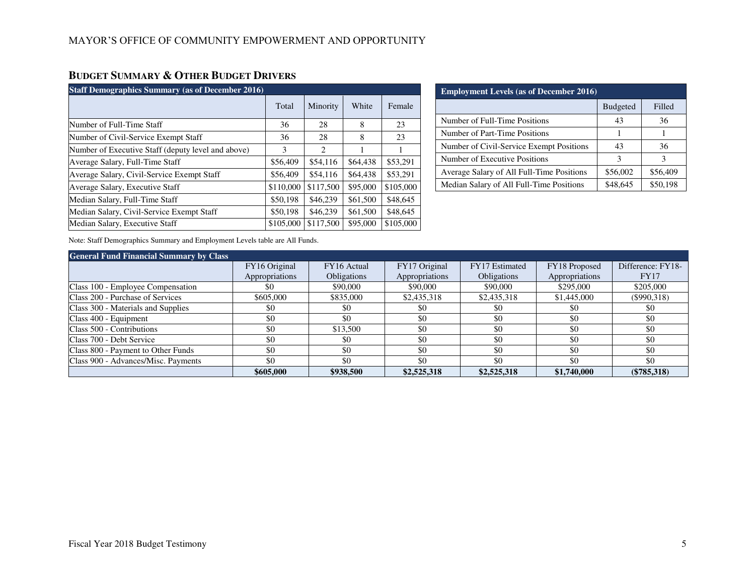# **BUDGET SUMMARY & OTHER BUDGET DRIVERS**

| <b>Staff Demographics Summary (as of December 2016)</b> |           |           |          |           |  |  |  |
|---------------------------------------------------------|-----------|-----------|----------|-----------|--|--|--|
|                                                         | Total     | Minority  | White    | Female    |  |  |  |
| Number of Full-Time Staff                               | 36        | 28        | 8        | 23        |  |  |  |
| Number of Civil-Service Exempt Staff                    | 36        | 28        | 8        | 23        |  |  |  |
| Number of Executive Staff (deputy level and above)      | 3         | 2         |          |           |  |  |  |
| Average Salary, Full-Time Staff                         | \$56,409  | \$54,116  | \$64,438 | \$53,291  |  |  |  |
| Average Salary, Civil-Service Exempt Staff              | \$56,409  | \$54,116  | \$64,438 | \$53,291  |  |  |  |
| Average Salary, Executive Staff                         | \$110,000 | \$117,500 | \$95,000 | \$105,000 |  |  |  |
| Median Salary, Full-Time Staff                          | \$50,198  | \$46,239  | \$61,500 | \$48,645  |  |  |  |
| Median Salary, Civil-Service Exempt Staff               | \$50,198  | \$46,239  | \$61,500 | \$48,645  |  |  |  |
| Median Salary, Executive Staff                          | \$105,000 | \$117,500 | \$95,000 | \$105,000 |  |  |  |

| <b>Employment Levels (as of December 2016)</b> |                 |          |  |  |  |  |  |
|------------------------------------------------|-----------------|----------|--|--|--|--|--|
|                                                | <b>Budgeted</b> | Filled   |  |  |  |  |  |
| Number of Full-Time Positions                  | 43              | 36       |  |  |  |  |  |
| Number of Part-Time Positions                  |                 |          |  |  |  |  |  |
| Number of Civil-Service Exempt Positions       | 43              | 36       |  |  |  |  |  |
| Number of Executive Positions                  | з               | 3        |  |  |  |  |  |
| Average Salary of All Full-Time Positions      | \$56,002        | \$56,409 |  |  |  |  |  |
| Median Salary of All Full-Time Positions       | \$48,645        | \$50,198 |  |  |  |  |  |

Note: Staff Demographics Summary and Employment Levels table are All Funds.

| <b>General Fund Financial Summary by Class</b> |                |                    |                |                    |                |                   |
|------------------------------------------------|----------------|--------------------|----------------|--------------------|----------------|-------------------|
|                                                | FY16 Original  | FY16 Actual        | FY17 Original  | FY17 Estimated     | FY18 Proposed  | Difference: FY18- |
|                                                | Appropriations | <b>Obligations</b> | Appropriations | <b>Obligations</b> | Appropriations | <b>FY17</b>       |
| Class 100 - Employee Compensation              | \$0            | \$90,000           | \$90,000       | \$90,000           | \$295,000      | \$205,000         |
| Class 200 - Purchase of Services               | \$605,000      | \$835,000          | \$2,435,318    | \$2,435,318        | \$1,445,000    | $($ \$990,318)    |
| Class 300 - Materials and Supplies             | \$0            | \$0                | \$0            | \$0                | \$0            | \$0               |
| Class 400 - Equipment                          | \$0            | \$0                | \$0            | \$0                | -\$0           | \$0               |
| Class 500 - Contributions                      | \$0            | \$13,500           | \$0            | \$0                | \$0            | \$0               |
| Class 700 - Debt Service                       | \$0            | \$0                | \$0            | \$0                | \$0            | \$0               |
| Class 800 - Payment to Other Funds             | \$0            | \$0                | \$0            | \$0                | -\$0           | \$0               |
| Class 900 - Advances/Misc. Payments            | \$0            | \$0                | \$0            | \$0                | \$0            | \$0               |
|                                                | \$605,000      | \$938,500          | \$2,525,318    | \$2,525,318        | \$1,740,000    | $(\$785,318)$     |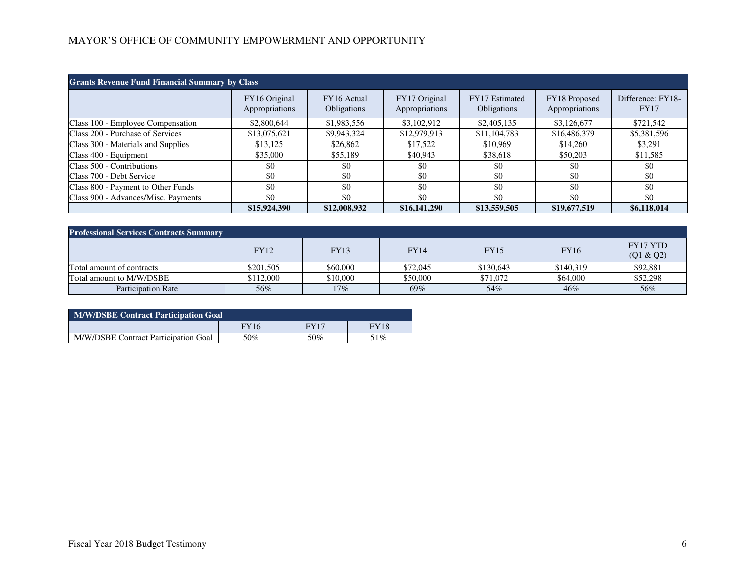# MAYOR'S OFFICE OF COMMUNITY EMPOWERMENT AND OPPORTUNITY

| <b>Grants Revenue Fund Financial Summary by Class</b> |                                 |                            |                                 |                               |                                 |                                  |  |
|-------------------------------------------------------|---------------------------------|----------------------------|---------------------------------|-------------------------------|---------------------------------|----------------------------------|--|
|                                                       | FY16 Original<br>Appropriations | FY16 Actual<br>Obligations | FY17 Original<br>Appropriations | FY17 Estimated<br>Obligations | FY18 Proposed<br>Appropriations | Difference: FY18-<br><b>FY17</b> |  |
| Class 100 - Employee Compensation                     | \$2,800,644                     | \$1,983,556                | \$3,102,912                     | \$2,405,135                   | \$3,126,677                     | \$721,542                        |  |
| Class 200 - Purchase of Services                      | \$13,075,621                    | \$9,943,324                | \$12,979,913                    | \$11,104,783                  | \$16,486,379                    | \$5,381,596                      |  |
| Class 300 - Materials and Supplies                    | \$13,125                        | \$26,862                   | \$17,522                        | \$10,969                      | \$14,260                        | \$3,291                          |  |
| Class 400 - Equipment                                 | \$35,000                        | \$55,189                   | \$40,943                        | \$38,618                      | \$50,203                        | \$11,585                         |  |
| Class 500 - Contributions                             | \$0                             | \$0                        | \$0                             | \$0                           | \$0                             | \$0                              |  |
| Class 700 - Debt Service                              | \$0                             | \$0                        | \$0                             | \$0                           | \$0                             | \$0                              |  |
| Class 800 - Payment to Other Funds                    | \$0                             | \$0                        | \$0                             | \$0                           | \$0                             | \$0                              |  |
| Class 900 - Advances/Misc. Payments                   | \$0                             | \$0                        | \$0                             | \$0                           | \$0                             | \$0                              |  |
|                                                       | \$15,924,390                    | \$12,008,932               | \$16,141,290                    | \$13,559,505                  | \$19,677,519                    | \$6,118,014                      |  |

| <b>Professional Services Contracts Summary</b> |             |             |             |             |             |                              |  |  |
|------------------------------------------------|-------------|-------------|-------------|-------------|-------------|------------------------------|--|--|
|                                                | <b>FY12</b> | <b>FY13</b> | <b>FY14</b> | <b>FY15</b> | <b>FY16</b> | <b>FY17 YTD</b><br>(Q1 & Q2) |  |  |
| Total amount of contracts                      | \$201,505   | \$60,000    | \$72,045    | \$130,643   | \$140,319   | \$92,881                     |  |  |
| Total amount to M/W/DSBE                       | \$112,000   | \$10,000    | \$50,000    | \$71,072    | \$64,000    | \$52,298                     |  |  |
| <b>Participation Rate</b>                      | 56%         | $17\%$      | 69%         | 54%         | 46%         | 56%                          |  |  |

| <b>M/W/DSBE Contract Participation Goal</b> |             |      |             |  |  |  |  |
|---------------------------------------------|-------------|------|-------------|--|--|--|--|
|                                             | <b>FY16</b> | FY17 | <b>FY18</b> |  |  |  |  |
| M/W/DSBE Contract Participation Goal        | 50%         | 50%  | 51%         |  |  |  |  |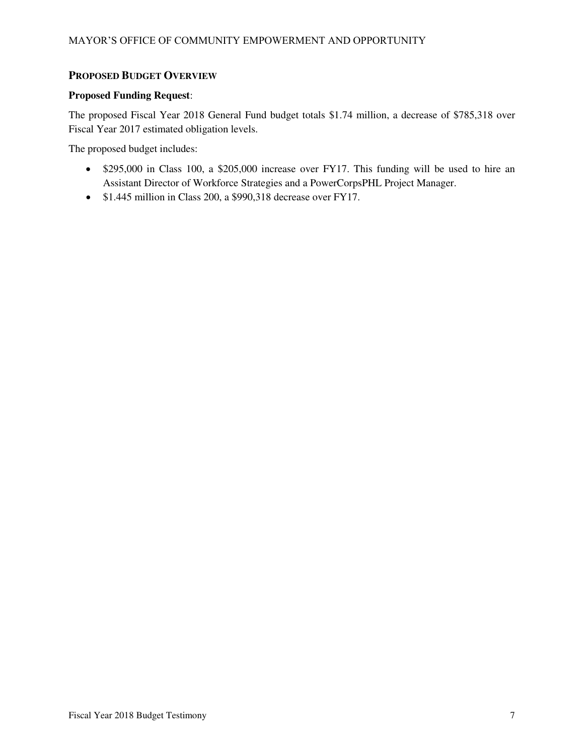### **PROPOSED BUDGET OVERVIEW**

#### **Proposed Funding Request**:

The proposed Fiscal Year 2018 General Fund budget totals \$1.74 million, a decrease of \$785,318 over Fiscal Year 2017 estimated obligation levels.

The proposed budget includes:

- \$295,000 in Class 100, a \$205,000 increase over FY17. This funding will be used to hire an Assistant Director of Workforce Strategies and a PowerCorpsPHL Project Manager.
- \$1.445 million in Class 200, a \$990,318 decrease over FY17.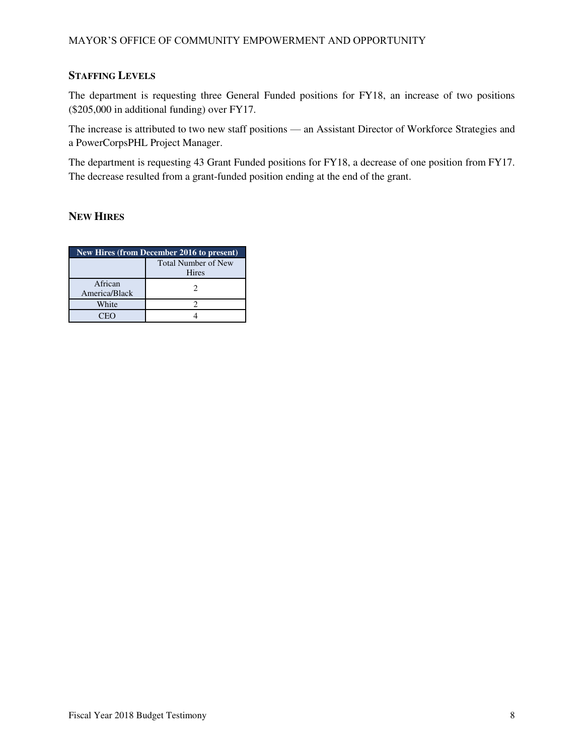## **STAFFING LEVELS**

The department is requesting three General Funded positions for FY18, an increase of two positions (\$205,000 in additional funding) over FY17.

The increase is attributed to two new staff positions — an Assistant Director of Workforce Strategies and a PowerCorpsPHL Project Manager.

The department is requesting 43 Grant Funded positions for FY18, a decrease of one position from FY17. The decrease resulted from a grant-funded position ending at the end of the grant.

### **NEW HIRES**

| New Hires (from December 2016 to present) |                                            |  |  |  |  |
|-------------------------------------------|--------------------------------------------|--|--|--|--|
|                                           | <b>Total Number of New</b><br><b>Hires</b> |  |  |  |  |
| African<br>America/Black                  |                                            |  |  |  |  |
| White                                     |                                            |  |  |  |  |
| ν                                         |                                            |  |  |  |  |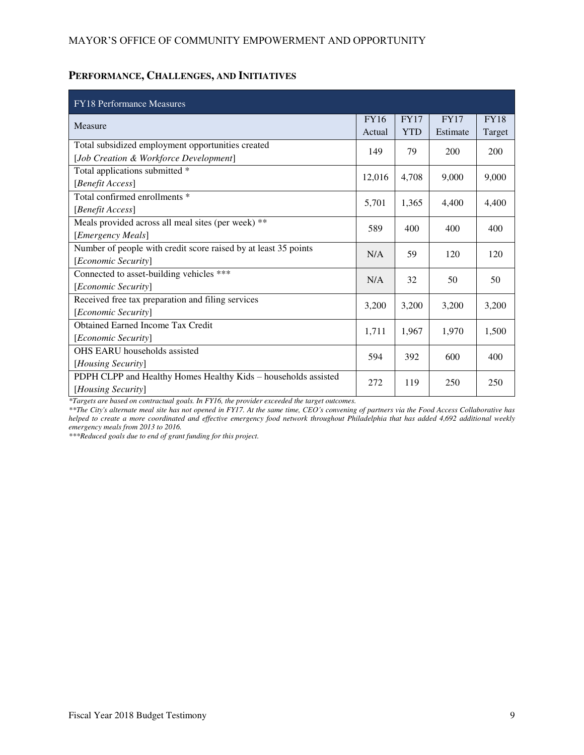#### MAYOR'S OFFICE OF COMMUNITY EMPOWERMENT AND OPPORTUNITY

# **PERFORMANCE, CHALLENGES, AND INITIATIVES**

| <b>FY18</b> Performance Measures                                |             |             |             |             |
|-----------------------------------------------------------------|-------------|-------------|-------------|-------------|
| Measure                                                         | <b>FY16</b> | <b>FY17</b> | <b>FY17</b> | <b>FY18</b> |
|                                                                 | Actual      | <b>YTD</b>  | Estimate    | Target      |
| Total subsidized employment opportunities created               | 149         | 79          | 200         | 200         |
| [Job Creation & Workforce Development]                          |             |             |             |             |
| Total applications submitted *                                  | 12,016      | 4,708       | 9,000       | 9,000       |
| [Benefit Access]                                                |             |             |             |             |
| Total confirmed enrollments *                                   | 5,701       | 1,365       | 4,400       | 4,400       |
| [Benefit Access]                                                |             |             |             |             |
| Meals provided across all meal sites (per week) **              | 589         | 400         | 400         | 400         |
| [Emergency Meals]                                               |             |             |             |             |
| Number of people with credit score raised by at least 35 points | N/A         | 59          | 120         | 120         |
| [Economic Security]                                             |             |             |             |             |
| Connected to asset-building vehicles ***                        | N/A         | 32          | 50          | 50          |
| [Economic Security]                                             |             |             |             |             |
| Received free tax preparation and filing services               | 3,200       | 3,200       | 3,200       | 3,200       |
| [Economic Security]                                             |             |             |             |             |
| <b>Obtained Earned Income Tax Credit</b>                        | 1,711       | 1,967       | 1,970       | 1,500       |
| [Economic Security]                                             |             |             |             |             |
| <b>OHS EARU</b> households assisted                             | 594         | 392         | 600         | 400         |
| [Housing Security]                                              |             |             |             |             |
| PDPH CLPP and Healthy Homes Healthy Kids - households assisted  | 272         | 119         | 250         | 250         |
| [Housing Security]                                              |             |             |             |             |

*\*Targets are based on contractual goals. In FY16, the provider exceeded the target outcomes.* 

*\*\*The City's alternate meal site has not opened in FY17. At the same time, CEO's convening of partners via the Food Access Collaborative has helped to create a more coordinated and effective emergency food network throughout Philadelphia that has added 4,692 additional weekly emergency meals from 2013 to 2016.* 

*\*\*\*Reduced goals due to end of grant funding for this project.*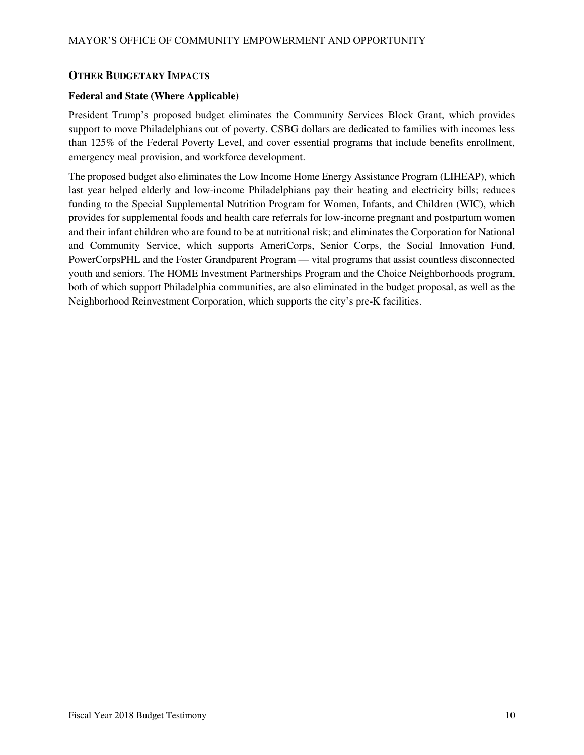#### **OTHER BUDGETARY IMPACTS**

#### **Federal and State (Where Applicable)**

President Trump's proposed budget eliminates the Community Services Block Grant, which provides support to move Philadelphians out of poverty. CSBG dollars are dedicated to families with incomes less than 125% of the Federal Poverty Level, and cover essential programs that include benefits enrollment, emergency meal provision, and workforce development.

The proposed budget also eliminates the Low Income Home Energy Assistance Program (LIHEAP), which last year helped elderly and low-income Philadelphians pay their heating and electricity bills; reduces funding to the Special Supplemental Nutrition Program for Women, Infants, and Children (WIC), which provides for supplemental foods and health care referrals for low-income pregnant and postpartum women and their infant children who are found to be at nutritional risk; and eliminates the Corporation for National and Community Service, which supports AmeriCorps, Senior Corps, the Social Innovation Fund, PowerCorpsPHL and the Foster Grandparent Program — vital programs that assist countless disconnected youth and seniors. The HOME Investment Partnerships Program and the Choice Neighborhoods program, both of which support Philadelphia communities, are also eliminated in the budget proposal, as well as the Neighborhood Reinvestment Corporation, which supports the city's pre-K facilities.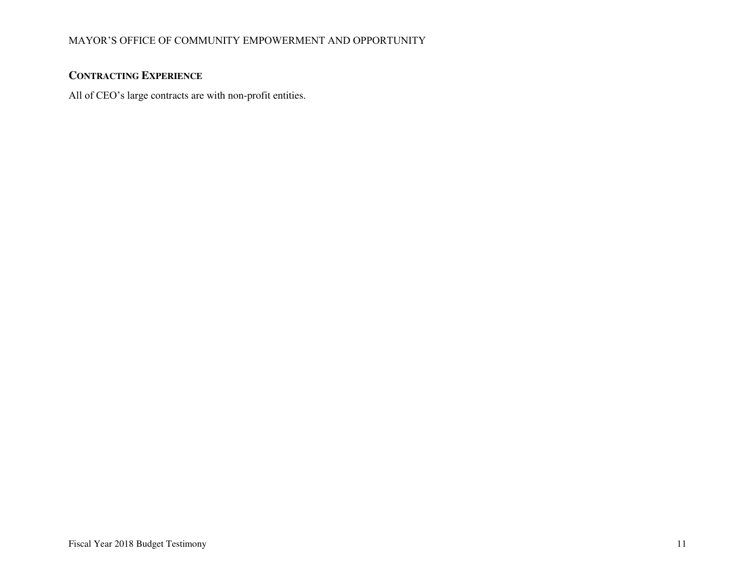## MAYOR'S OFFICE OF COMMUNITY EMPOWERMENT AND OPPORTUNITY

## **CONTRACTING EXPERIENCE**

All of CEO's large contracts are with non-profit entities.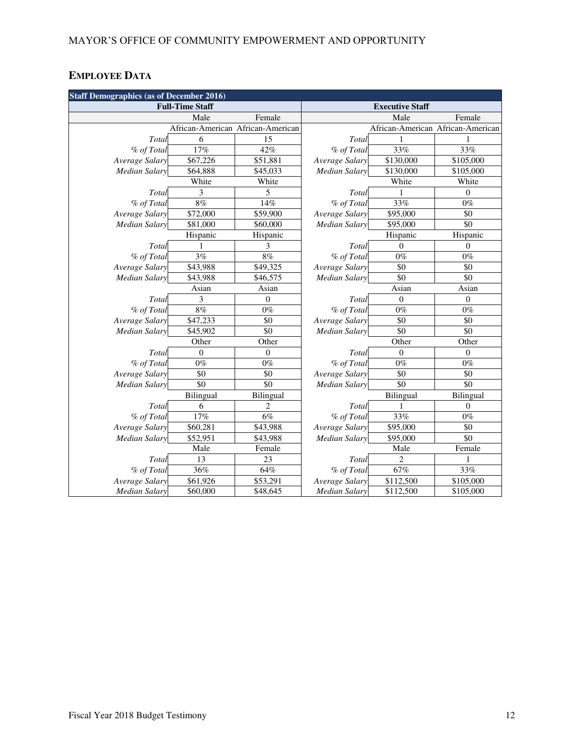# **EMPLOYEE DATA**

| <b>Staff Demographics (as of December 2016)</b> |                        |                                   |                      |                        |                                   |  |  |
|-------------------------------------------------|------------------------|-----------------------------------|----------------------|------------------------|-----------------------------------|--|--|
|                                                 | <b>Full-Time Staff</b> |                                   |                      | <b>Executive Staff</b> |                                   |  |  |
|                                                 | Male                   | Female                            |                      | Male                   | Female                            |  |  |
|                                                 |                        | African-American African-American |                      |                        | African-American African-American |  |  |
| Total                                           | 6                      | 15                                | Total                |                        |                                   |  |  |
| % of Total                                      | 17%                    | 42%                               | % of Total           | 33%                    | 33%                               |  |  |
| Average Salary                                  | $\overline{$}67,226$   | \$51,881                          | Average Salary       | $\overline{$}130,000$  | \$105,000                         |  |  |
| <b>Median Salary</b>                            | \$64,888               | \$45,033                          | <b>Median Salary</b> | \$130,000              | \$105,000                         |  |  |
|                                                 | White                  | White                             |                      | White                  | White                             |  |  |
| Total                                           | 3                      | 5                                 | Total                |                        | $\overline{0}$                    |  |  |
| % of Total                                      | 8%                     | 14%                               | % of Total           | 33%                    | $0\%$                             |  |  |
| Average Salary                                  | \$72,000               | \$59,900                          | Average Salary       | \$95,000               | \$0                               |  |  |
| <b>Median Salary</b>                            | \$81,000               | \$60,000                          | <b>Median Salary</b> | \$95,000               | \$0                               |  |  |
|                                                 | Hispanic               | Hispanic                          |                      | Hispanic               | Hispanic                          |  |  |
| Total                                           |                        | 3                                 | Total                | $\theta$               | $\theta$                          |  |  |
| % of Total                                      | 3%                     | $8\%$                             | % of Total           | $0\%$                  | $0\%$                             |  |  |
| Average Salary                                  | \$43,988               | \$49,325                          | Average Salary       | \$0                    | \$0                               |  |  |
| <b>Median Salary</b>                            | \$43,988               | \$46,575                          | <b>Median Salary</b> | \$0                    | \$0                               |  |  |
|                                                 | Asian                  | Asian                             |                      | Asian                  | Asian                             |  |  |
| Total                                           | 3                      | $\overline{0}$                    | Total                | $\boldsymbol{0}$       | $\theta$                          |  |  |
| % of Total                                      | 8%                     | $0\%$                             | % of Total           | $0\%$                  | $0\%$                             |  |  |
| Average Salary                                  | \$47,233               | \$0                               | Average Salary       | \$0                    | \$0                               |  |  |
| <b>Median Salary</b>                            | \$45,902               | \$0                               | <b>Median Salary</b> | \$0                    | \$0                               |  |  |
|                                                 | Other                  | Other                             |                      | Other                  | Other                             |  |  |
| Total                                           | $\boldsymbol{0}$       | $\boldsymbol{0}$                  | Total                | $\boldsymbol{0}$       | $\boldsymbol{0}$                  |  |  |
| % of Total                                      | $0\%$                  | $0\%$                             | % of Total           | $0\%$                  | $0\%$                             |  |  |
| Average Salary                                  | \$0                    | \$0                               | Average Salary       | \$0                    | \$0                               |  |  |
| <b>Median Salary</b>                            | $\overline{50}$        | $\overline{50}$                   | <b>Median Salary</b> | $\overline{50}$        | $\overline{50}$                   |  |  |
|                                                 | Bilingual              | Bilingual                         |                      | Bilingual              | Bilingual                         |  |  |
| Total                                           | 6                      | $\overline{2}$                    | Total                | 1                      | $\mathbf{0}$                      |  |  |
| % of Total                                      | 17%                    | 6%                                | % of Total           | $33\%$                 | $0\%$                             |  |  |
| Average Salary                                  | \$60,281               | \$43,988                          | Average Salary       | \$95,000               | \$0                               |  |  |
| <b>Median Salary</b>                            | \$52,951               | \$43,988                          | <b>Median Salary</b> | \$95,000               | $\overline{50}$                   |  |  |
|                                                 | Male                   | Female                            |                      | Male                   | Female                            |  |  |
| Total                                           | 13                     | 23                                | Total                | $\overline{c}$         |                                   |  |  |
| % of Total                                      | 36%                    | 64%                               | % of Total           | 67%                    | 33%                               |  |  |
| Average Salary                                  | \$61,926               | \$53,291                          | Average Salary       | \$112,500              | \$105,000                         |  |  |
| <b>Median Salary</b>                            | \$60,000               | \$48,645                          | <b>Median Salary</b> | \$112,500              | \$105,000                         |  |  |